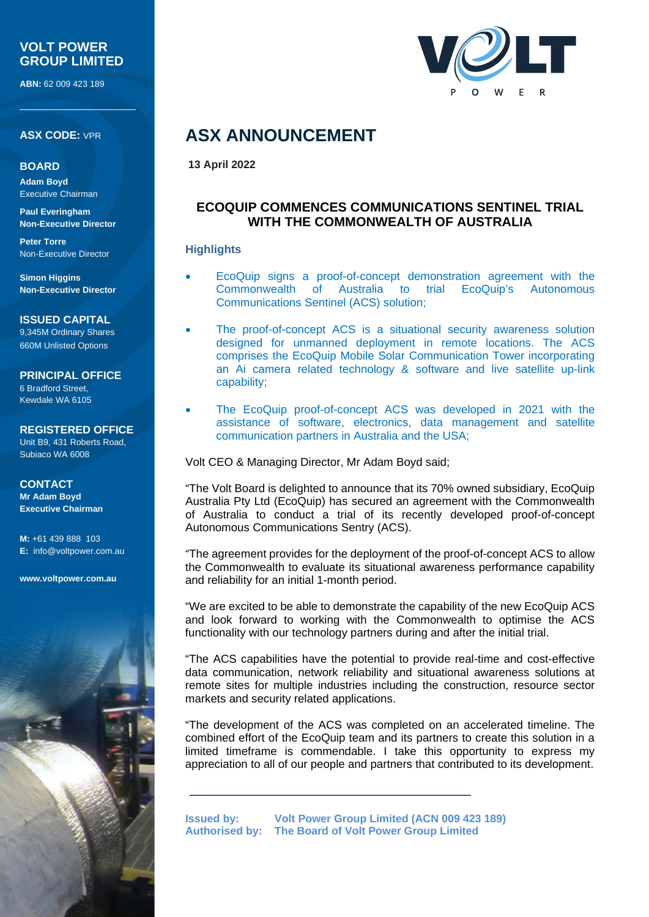## **VOLT POWER GROUP LIMITED**

**ABN:** 62 009 423 189

**ASX CODE:** VPR

#### **BOARD**

**Adam Boyd** Executive Chairman

**Paul Everingham Non-Executive Director**

**Peter Torre** Non-Executive Director

**Simon Higgins Non-Executive Director**

**ISSUED CAPITAL** 9,345M Ordinary Shares 660M Unlisted Options

**PRINCIPAL OFFICE** 6 Bradford Street,

Kewdale WA 6105

**REGISTERED OFFICE** Unit B9, 431 Roberts Road, Subiaco WA 6008

**CONTACT Mr Adam Boyd Executive Chairman**

**M:** +61 439 888 103 **E:** [info@voltpower.com.au](mailto:info@voltpower.com.au)

**[www.voltpower.com.au](http://www.voltpower.com.au/)**





# **ASX ANNOUNCEMENT**

**13 April 2022**

# **ECOQUIP COMMENCES COMMUNICATIONS SENTINEL TRIAL WITH THE COMMONWEALTH OF AUSTRALIA**

### **Highlights**

- EcoQuip signs a proof-of-concept demonstration agreement with the Commonwealth of Australia to trial EcoQuip's Autonomous Communications Sentinel (ACS) solution;
- The proof-of-concept ACS is a situational security awareness solution designed for unmanned deployment in remote locations. The ACS comprises the EcoQuip Mobile Solar Communication Tower incorporating an Ai camera related technology & software and live satellite up-link capability;
- The EcoQuip proof-of-concept ACS was developed in 2021 with the assistance of software, electronics, data management and satellite communication partners in Australia and the USA;

Volt CEO & Managing Director, Mr Adam Boyd said;

"The Volt Board is delighted to announce that its 70% owned subsidiary, EcoQuip Australia Pty Ltd (EcoQuip) has secured an agreement with the Commonwealth of Australia to conduct a trial of its recently developed proof-of-concept Autonomous Communications Sentry (ACS).

"The agreement provides for the deployment of the proof-of-concept ACS to allow the Commonwealth to evaluate its situational awareness performance capability and reliability for an initial 1-month period.

"We are excited to be able to demonstrate the capability of the new EcoQuip ACS and look forward to working with the Commonwealth to optimise the ACS functionality with our technology partners during and after the initial trial.

"The ACS capabilities have the potential to provide real-time and cost-effective data communication, network reliability and situational awareness solutions at remote sites for multiple industries including the construction, resource sector markets and security related applications.

"The development of the ACS was completed on an accelerated timeline. The combined effort of the EcoQuip team and its partners to create this solution in a limited timeframe is commendable. I take this opportunity to express my appreciation to all of our people and partners that contributed to its development.

**Issued by: Volt Power Group Limited (ACN 009 423 189) Authorised by: The Board of Volt Power Group Limited**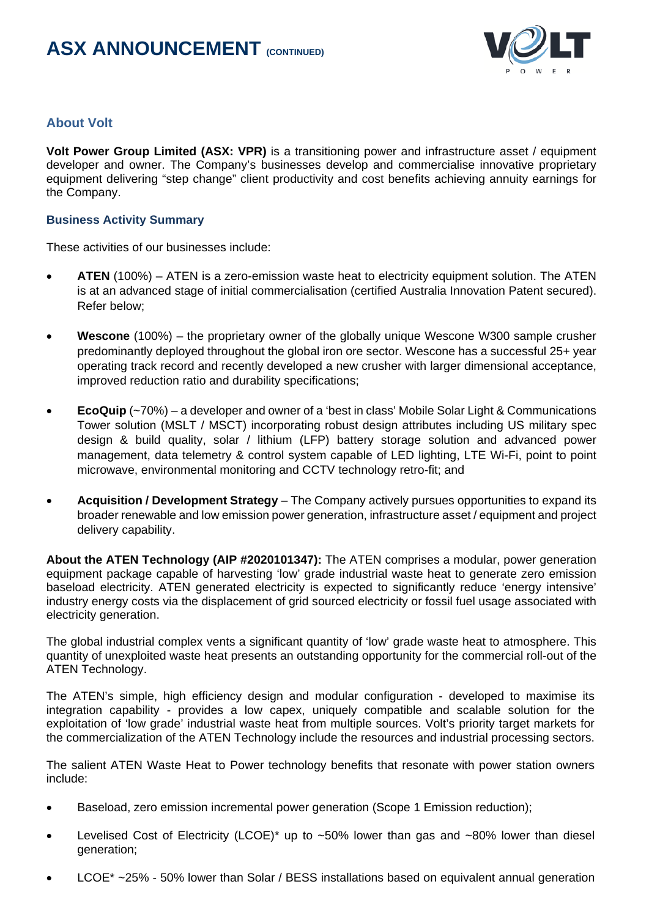

# **About Volt**

**Volt Power Group Limited (ASX: VPR)** is a transitioning power and infrastructure asset / equipment developer and owner. The Company's businesses develop and commercialise innovative proprietary equipment delivering "step change" client productivity and cost benefits achieving annuity earnings for the Company.

#### **Business Activity Summary**

These activities of our businesses include:

- ATEN (100%) ATEN is a zero-emission waste heat to electricity equipment solution. The ATEN is at an advanced stage of initial commercialisation (certified Australia Innovation Patent secured). Refer below;
- **Wescone** (100%) the proprietary owner of the globally unique Wescone W300 sample crusher predominantly deployed throughout the global iron ore sector. Wescone has a successful 25+ year operating track record and recently developed a new crusher with larger dimensional acceptance, improved reduction ratio and durability specifications;
- **EcoQuip** (~70%) a developer and owner of a 'best in class' Mobile Solar Light & Communications Tower solution (MSLT / MSCT) incorporating robust design attributes including US military spec design & build quality, solar / lithium (LFP) battery storage solution and advanced power management, data telemetry & control system capable of LED lighting, LTE Wi-Fi, point to point microwave, environmental monitoring and CCTV technology retro-fit; and
- **Acquisition / Development Strategy** The Company actively pursues opportunities to expand its broader renewable and low emission power generation, infrastructure asset / equipment and project delivery capability.

**About the ATEN Technology (AIP #2020101347):** The ATEN comprises a modular, power generation equipment package capable of harvesting 'low' grade industrial waste heat to generate zero emission baseload electricity. ATEN generated electricity is expected to significantly reduce 'energy intensive' industry energy costs via the displacement of grid sourced electricity or fossil fuel usage associated with electricity generation.

The global industrial complex vents a significant quantity of 'low' grade waste heat to atmosphere. This quantity of unexploited waste heat presents an outstanding opportunity for the commercial roll-out of the ATEN Technology.

The ATEN's simple, high efficiency design and modular configuration - developed to maximise its integration capability - provides a low capex, uniquely compatible and scalable solution for the exploitation of 'low grade' industrial waste heat from multiple sources. Volt's priority target markets for the commercialization of the ATEN Technology include the resources and industrial processing sectors.

The salient ATEN Waste Heat to Power technology benefits that resonate with power station owners include:

- Baseload, zero emission incremental power generation (Scope 1 Emission reduction);
- Levelised Cost of Electricity (LCOE)\* up to  $~50\%$  lower than gas and  $~80\%$  lower than diesel generation;
- LCOE\* ~25% 50% lower than Solar / BESS installations based on equivalent annual generation